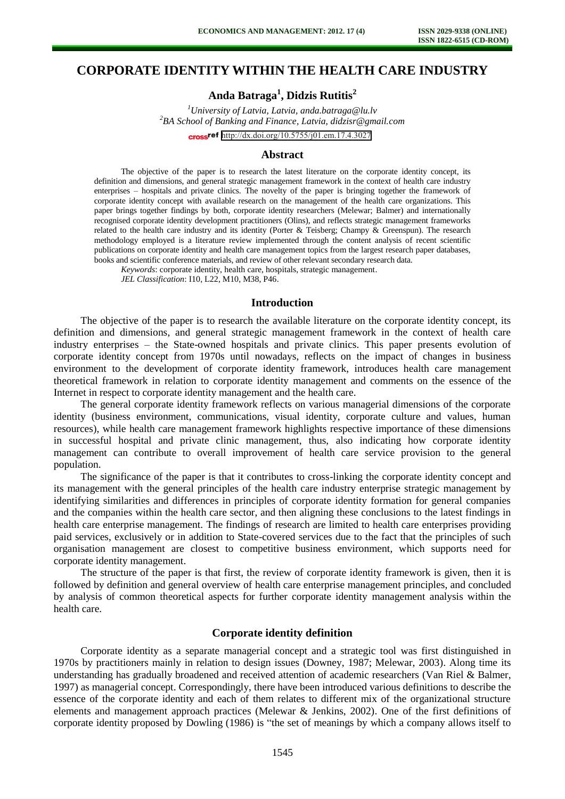## **CORPORATE IDENTITY WITHIN THE HEALTH CARE INDUSTRY**

# **Anda Batraga<sup>1</sup> , Didzis Rutitis<sup>2</sup>**

*<sup>1</sup>University of Latvia, Latvia, anda.batraga@lu.lv <sup>2</sup>BA School of Banking and Finance, Latvia, didzisr@gmail.com*  cross<sup>ref</sup> <http://dx.doi.org/10.5755/j01.em.17.4.3027>

#### **Abstract**

The objective of the paper is to research the latest literature on the corporate identity concept, its definition and dimensions, and general strategic management framework in the context of health care industry enterprises – hospitals and private clinics. The novelty of the paper is bringing together the framework of corporate identity concept with available research on the management of the health care organizations. This paper brings together findings by both, corporate identity researchers (Melewar; Balmer) and internationally recognised corporate identity development practitioners (Olins), and reflects strategic management frameworks related to the health care industry and its identity (Porter & Teisberg; Champy & Greenspun). The research methodology employed is a literature review implemented through the content analysis of recent scientific publications on corporate identity and health care management topics from the largest research paper databases, books and scientific conference materials, and review of other relevant secondary research data.

*Keywords*: corporate identity, health care, hospitals, strategic management.

*JEL Classification*: I10, L22, M10, M38, P46.

#### **Introduction**

The objective of the paper is to research the available literature on the corporate identity concept, its definition and dimensions, and general strategic management framework in the context of health care industry enterprises – the State-owned hospitals and private clinics. This paper presents evolution of corporate identity concept from 1970s until nowadays, reflects on the impact of changes in business environment to the development of corporate identity framework, introduces health care management theoretical framework in relation to corporate identity management and comments on the essence of the Internet in respect to corporate identity management and the health care.

The general corporate identity framework reflects on various managerial dimensions of the corporate identity (business environment, communications, visual identity, corporate culture and values, human resources), while health care management framework highlights respective importance of these dimensions in successful hospital and private clinic management, thus, also indicating how corporate identity management can contribute to overall improvement of health care service provision to the general population.

The significance of the paper is that it contributes to cross-linking the corporate identity concept and its management with the general principles of the health care industry enterprise strategic management by identifying similarities and differences in principles of corporate identity formation for general companies and the companies within the health care sector, and then aligning these conclusions to the latest findings in health care enterprise management. The findings of research are limited to health care enterprises providing paid services, exclusively or in addition to State-covered services due to the fact that the principles of such organisation management are closest to competitive business environment, which supports need for corporate identity management.

The structure of the paper is that first, the review of corporate identity framework is given, then it is followed by definition and general overview of health care enterprise management principles, and concluded by analysis of common theoretical aspects for further corporate identity management analysis within the health care.

## **Corporate identity definition**

Corporate identity as a separate managerial concept and a strategic tool was first distinguished in 1970s by practitioners mainly in relation to design issues (Downey, 1987; Melewar, 2003). Along time its understanding has gradually broadened and received attention of academic researchers (Van Riel & Balmer, 1997) as managerial concept. Correspondingly, there have been introduced various definitions to describe the essence of the corporate identity and each of them relates to different mix of the organizational structure elements and management approach practices (Melewar & Jenkins, 2002). One of the first definitions of corporate identity proposed by Dowling (1986) is "the set of meanings by which a company allows itself to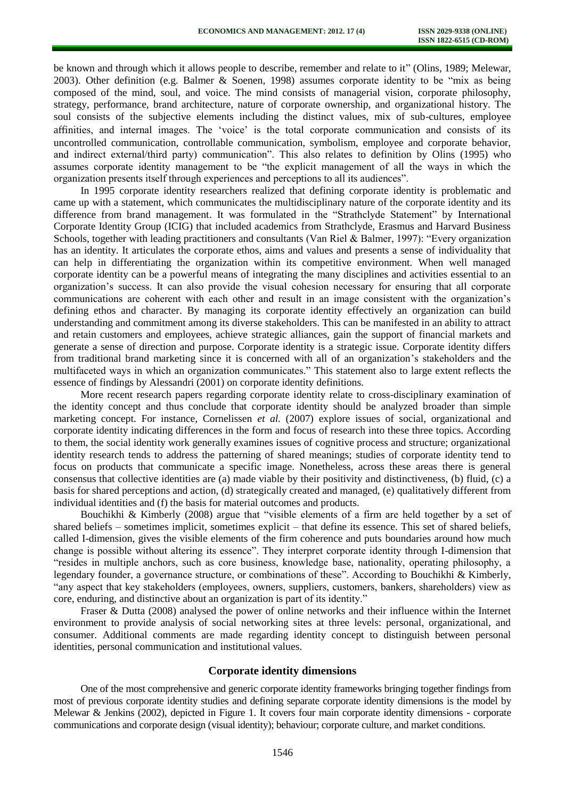be known and through which it allows people to describe, remember and relate to it" (Olins, 1989; Melewar, 2003). Other definition (e.g. Balmer & Soenen, 1998) assumes corporate identity to be "mix as being composed of the mind, soul, and voice. The mind consists of managerial vision, corporate philosophy, strategy, performance, brand architecture, nature of corporate ownership, and organizational history. The soul consists of the subjective elements including the distinct values, mix of sub-cultures, employee affinities, and internal images. The 'voice' is the total corporate communication and consists of its uncontrolled communication, controllable communication, symbolism, employee and corporate behavior, and indirect external/third party) communication". This also relates to definition by Olins (1995) who assumes corporate identity management to be "the explicit management of all the ways in which the organization presents itself through experiences and perceptions to all its audiences".

In 1995 corporate identity researchers realized that defining corporate identity is problematic and came up with a statement, which communicates the multidisciplinary nature of the corporate identity and its difference from brand management. It was formulated in the "Strathclyde Statement" by International Corporate Identity Group (ICIG) that included academics from Strathclyde, Erasmus and Harvard Business Schools, together with leading practitioners and consultants (Van Riel & Balmer, 1997): "Every organization has an identity. It articulates the corporate ethos, aims and values and presents a sense of individuality that can help in differentiating the organization within its competitive environment. When well managed corporate identity can be a powerful means of integrating the many disciplines and activities essential to an organization's success. It can also provide the visual cohesion necessary for ensuring that all corporate communications are coherent with each other and result in an image consistent with the organization's defining ethos and character. By managing its corporate identity effectively an organization can build understanding and commitment among its diverse stakeholders. This can be manifested in an ability to attract and retain customers and employees, achieve strategic alliances, gain the support of financial markets and generate a sense of direction and purpose. Corporate identity is a strategic issue. Corporate identity differs from traditional brand marketing since it is concerned with all of an organization's stakeholders and the multifaceted ways in which an organization communicates." This statement also to large extent reflects the essence of findings by Alessandri (2001) on corporate identity definitions.

More recent research papers regarding corporate identity relate to cross-disciplinary examination of the identity concept and thus conclude that corporate identity should be analyzed broader than simple marketing concept. For instance, Cornelissen *et al.* (2007) explore issues of social, organizational and corporate identity indicating differences in the form and focus of research into these three topics. According to them, the social identity work generally examines issues of cognitive process and structure; organizational identity research tends to address the patterning of shared meanings; studies of corporate identity tend to focus on products that communicate a specific image. Nonetheless, across these areas there is general consensus that collective identities are (a) made viable by their positivity and distinctiveness, (b) fluid, (c) a basis for shared perceptions and action, (d) strategically created and managed, (e) qualitatively different from individual identities and (f) the basis for material outcomes and products.

Bouchikhi & Kimberly (2008) argue that "visible elements of a firm are held together by a set of shared beliefs – sometimes implicit, sometimes explicit – that define its essence. This set of shared beliefs, called I-dimension, gives the visible elements of the firm coherence and puts boundaries around how much change is possible without altering its essence". They interpret corporate identity through I-dimension that "resides in multiple anchors, such as core business, knowledge base, nationality, operating philosophy, a legendary founder, a governance structure, or combinations of these". According to Bouchikhi & Kimberly, "any aspect that key stakeholders (employees, owners, suppliers, customers, bankers, shareholders) view as core, enduring, and distinctive about an organization is part of its identity."

Fraser & Dutta (2008) analysed the power of online networks and their influence within the Internet environment to provide analysis of social networking sites at three levels: personal, organizational, and consumer. Additional comments are made regarding identity concept to distinguish between personal identities, personal communication and institutional values.

#### **Corporate identity dimensions**

One of the most comprehensive and generic corporate identity frameworks bringing together findings from most of previous corporate identity studies and defining separate corporate identity dimensions is the model by Melewar & Jenkins (2002), depicted in Figure 1. It covers four main corporate identity dimensions - corporate communications and corporate design (visual identity); behaviour; corporate culture, and market conditions.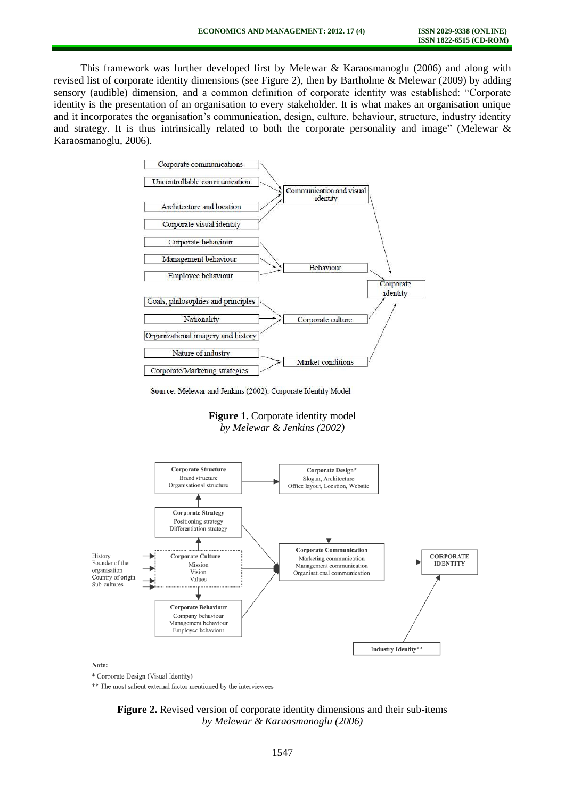This framework was further developed first by Melewar & Karaosmanoglu (2006) and along with revised list of corporate identity dimensions (see Figure 2), then by Bartholme & Melewar (2009) by adding sensory (audible) dimension, and a common definition of corporate identity was established: "Corporate identity is the presentation of an organisation to every stakeholder. It is what makes an organisation unique and it incorporates the organisation's communication, design, culture, behaviour, structure, industry identity and strategy. It is thus intrinsically related to both the corporate personality and image" (Melewar & Karaosmanoglu, 2006).



Source: Melewar and Jenkins (2002). Corporate Identity Model

**Figure 1.** Corporate identity model *by Melewar & Jenkins (2002)*



Note:

\* Corporate Design (Visual Identity)

\*\* The most salient external factor mentioned by the interviewees

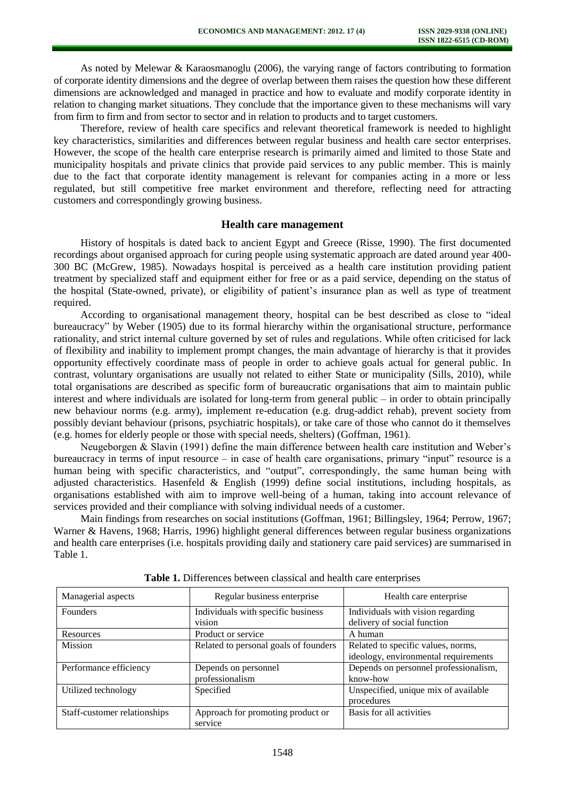As noted by Melewar & Karaosmanoglu (2006), the varying range of factors contributing to formation of corporate identity dimensions and the degree of overlap between them raises the question how these different dimensions are acknowledged and managed in practice and how to evaluate and modify corporate identity in relation to changing market situations. They conclude that the importance given to these mechanisms will vary from firm to firm and from sector to sector and in relation to products and to target customers.

Therefore, review of health care specifics and relevant theoretical framework is needed to highlight key characteristics, similarities and differences between regular business and health care sector enterprises. However, the scope of the health care enterprise research is primarily aimed and limited to those State and municipality hospitals and private clinics that provide paid services to any public member. This is mainly due to the fact that corporate identity management is relevant for companies acting in a more or less regulated, but still competitive free market environment and therefore, reflecting need for attracting customers and correspondingly growing business.

## **Health care management**

History of hospitals is dated back to ancient Egypt and Greece (Risse, 1990). The first documented recordings about organised approach for curing people using systematic approach are dated around year 400- 300 BC (McGrew, 1985). Nowadays hospital is perceived as a health care institution providing patient treatment by specialized staff and equipment either for free or as a paid service, depending on the status of the hospital (State-owned, private), or eligibility of patient's insurance plan as well as type of treatment required.

According to organisational management theory, hospital can be best described as close to "ideal bureaucracy" by Weber (1905) due to its formal hierarchy within the organisational structure, performance rationality, and strict internal culture governed by set of rules and regulations. While often criticised for lack of flexibility and inability to implement prompt changes, the main advantage of hierarchy is that it provides opportunity effectively coordinate mass of people in order to achieve goals actual for general public. In contrast, voluntary organisations are usually not related to either State or municipality (Sills, 2010), while total organisations are described as specific form of bureaucratic organisations that aim to maintain public interest and where individuals are isolated for long-term from general public – in order to obtain principally new behaviour norms (e.g. army), implement re-education (e.g. drug-addict rehab), prevent society from possibly deviant behaviour (prisons, psychiatric hospitals), or take care of those who cannot do it themselves (e.g. homes for elderly people or those with special needs, shelters) (Goffman, 1961).

Neugeborgen & Slavin (1991) define the main difference between health care institution and Weber's bureaucracy in terms of input resource – in case of health care organisations, primary "input" resource is a human being with specific characteristics, and "output", correspondingly, the same human being with adjusted characteristics. Hasenfeld & English (1999) define social institutions, including hospitals, as organisations established with aim to improve well-being of a human, taking into account relevance of services provided and their compliance with solving individual needs of a customer.

Main findings from researches on social institutions (Goffman, 1961; Billingsley, 1964; Perrow, 1967; Warner & Havens, 1968; Harris, 1996) highlight general differences between regular business organizations and health care enterprises (i.e. hospitals providing daily and stationery care paid services) are summarised in Table 1.

| Managerial aspects           | Regular business enterprise                  | Health care enterprise                                                     |
|------------------------------|----------------------------------------------|----------------------------------------------------------------------------|
| <b>Founders</b>              | Individuals with specific business<br>vision | Individuals with vision regarding<br>delivery of social function           |
| Resources                    | Product or service                           | A human                                                                    |
| <b>Mission</b>               | Related to personal goals of founders        | Related to specific values, norms,<br>ideology, environmental requirements |
| Performance efficiency       | Depends on personnel<br>professionalism      | Depends on personnel professionalism,<br>know-how                          |
| Utilized technology          | Specified                                    | Unspecified, unique mix of available<br>procedures                         |
| Staff-customer relationships | Approach for promoting product or<br>service | Basis for all activities                                                   |

**Table 1.** Differences between classical and health care enterprises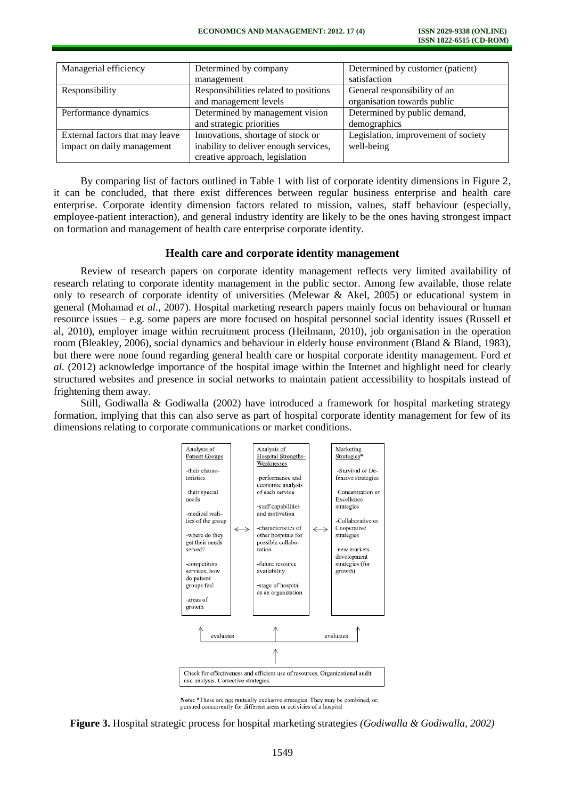| Managerial efficiency           | Determined by company                 | Determined by customer (patient)    |
|---------------------------------|---------------------------------------|-------------------------------------|
|                                 | management                            | satisfaction                        |
| Responsibility                  | Responsibilities related to positions | General responsibility of an        |
|                                 | and management levels                 | organisation towards public         |
| Performance dynamics            | Determined by management vision       | Determined by public demand,        |
|                                 | and strategic priorities              | demographics                        |
| External factors that may leave | Innovations, shortage of stock or     | Legislation, improvement of society |
| impact on daily management      | inability to deliver enough services, | well-being                          |
|                                 | creative approach, legislation        |                                     |

By comparing list of factors outlined in Table 1 with list of corporate identity dimensions in Figure 2, it can be concluded, that there exist differences between regular business enterprise and health care enterprise. Corporate identity dimension factors related to mission, values, staff behaviour (especially, employee-patient interaction), and general industry identity are likely to be the ones having strongest impact on formation and management of health care enterprise corporate identity.

#### **Health care and corporate identity management**

Review of research papers on corporate identity management reflects very limited availability of research relating to corporate identity management in the public sector. Among few available, those relate only to research of corporate identity of universities (Melewar & Akel, 2005) or educational system in general (Mohamad *et al.*, 2007). Hospital marketing research papers mainly focus on behavioural or human resource issues – e.g. some papers are more focused on hospital personnel social identity issues (Russell et al, 2010), employer image within recruitment process (Heilmann, 2010), job organisation in the operation room (Bleakley, 2006), social dynamics and behaviour in elderly house environment (Bland & Bland, 1983), but there were none found regarding general health care or hospital corporate identity management. Ford *et al.* (2012) acknowledge importance of the hospital image within the Internet and highlight need for clearly structured websites and presence in social networks to maintain patient accessibility to hospitals instead of frightening them away.

Still, Godiwalla & Godiwalla (2002) have introduced a framework for hospital marketing strategy formation, implying that this can also serve as part of hospital corporate identity management for few of its dimensions relating to corporate communications or market conditions.



Note: \*These are not mutually exclusive strategies. They may be combined, or, pursued concurrently for different areas or activities of a hospital

**Figure 3.** Hospital strategic process for hospital marketing strategies *(Godiwalla & Godiwalla, 2002)*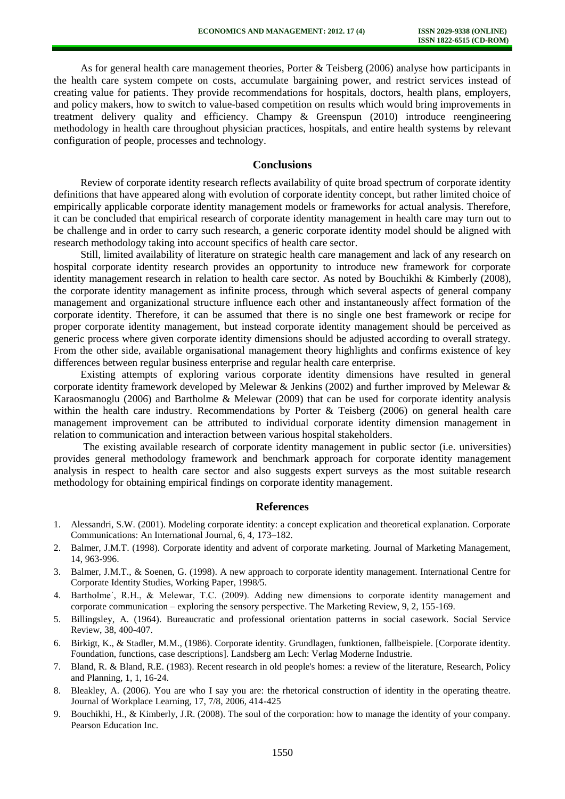As for general health care management theories, Porter & Teisberg (2006) analyse how participants in the health care system compete on costs, accumulate bargaining power, and restrict services instead of creating value for patients. They provide recommendations for hospitals, doctors, health plans, employers, and policy makers, how to switch to value-based competition on results which would bring improvements in treatment delivery quality and efficiency. Champy & Greenspun (2010) introduce reengineering methodology in health care throughout physician practices, hospitals, and entire health systems by relevant configuration of people, processes and technology.

### **Conclusions**

Review of corporate identity research reflects availability of quite broad spectrum of corporate identity definitions that have appeared along with evolution of corporate identity concept, but rather limited choice of empirically applicable corporate identity management models or frameworks for actual analysis. Therefore, it can be concluded that empirical research of corporate identity management in health care may turn out to be challenge and in order to carry such research, a generic corporate identity model should be aligned with research methodology taking into account specifics of health care sector.

Still, limited availability of literature on strategic health care management and lack of any research on hospital corporate identity research provides an opportunity to introduce new framework for corporate identity management research in relation to health care sector. As noted by Bouchikhi & Kimberly (2008), the corporate identity management as infinite process, through which several aspects of general company management and organizational structure influence each other and instantaneously affect formation of the corporate identity. Therefore, it can be assumed that there is no single one best framework or recipe for proper corporate identity management, but instead corporate identity management should be perceived as generic process where given corporate identity dimensions should be adjusted according to overall strategy. From the other side, available organisational management theory highlights and confirms existence of key differences between regular business enterprise and regular health care enterprise.

Existing attempts of exploring various corporate identity dimensions have resulted in general corporate identity framework developed by Melewar & Jenkins (2002) and further improved by Melewar & Karaosmanoglu (2006) and Bartholme & Melewar (2009) that can be used for corporate identity analysis within the health care industry. Recommendations by Porter & Teisberg (2006) on general health care management improvement can be attributed to individual corporate identity dimension management in relation to communication and interaction between various hospital stakeholders.

The existing available research of corporate identity management in public sector (i.e. universities) provides general methodology framework and benchmark approach for corporate identity management analysis in respect to health care sector and also suggests expert surveys as the most suitable research methodology for obtaining empirical findings on corporate identity management.

#### **References**

- 1. Alessandri, S.W. (2001). Modeling corporate identity: a concept explication and theoretical explanation. Corporate Communications: An International Journal, 6, 4, 173–182.
- 2. Balmer, J.M.T. (1998). Corporate identity and advent of corporate marketing. Journal of Marketing Management, 14, 963-996.
- 3. Balmer, J.M.T., & Soenen, G. (1998). A new approach to corporate identity management. International Centre for Corporate Identity Studies, Working Paper, 1998/5.
- 4. Bartholme´, R.H., & Melewar, T.C. (2009). Adding new dimensions to corporate identity management and corporate communication – exploring the sensory perspective. The Marketing Review, 9, 2, 155-169.
- 5. Billingsley, A. (1964). Bureaucratic and professional orientation patterns in social casework. Social Service Review, 38, 400-407.
- 6. Birkigt, K., & Stadler, M.M., (1986). Corporate identity. Grundlagen, funktionen, fallbeispiele. [Corporate identity. Foundation, functions, case descriptions]. Landsberg am Lech: Verlag Moderne Industrie.
- 7. Bland, R. & Bland, R.E. (1983). Recent research in old people's homes: a review of the literature, Research, Policy and Planning, 1, 1, 16-24.
- 8. Bleakley, A. (2006). You are who I say you are: the rhetorical construction of identity in the operating theatre. Journal of Workplace Learning, 17, 7/8, 2006, 414-425
- 9. Bouchikhi, H., & Kimberly, J.R. (2008). The soul of the corporation: how to manage the identity of your company. Pearson Education Inc.